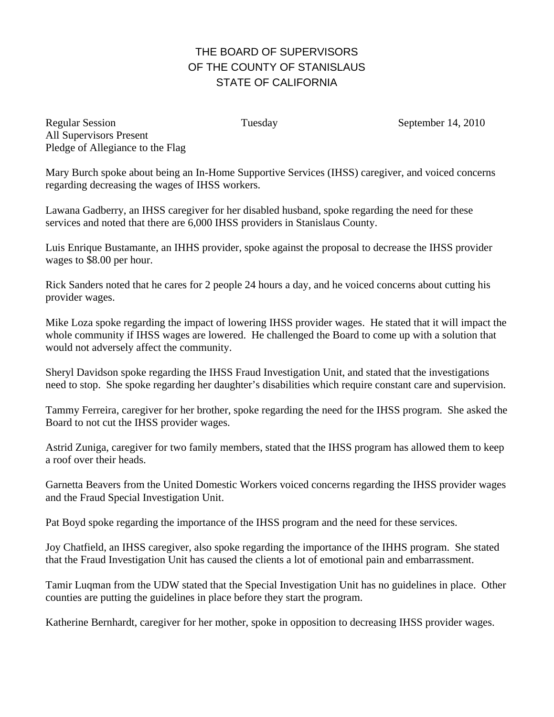## THE BOARD OF SUPERVISORS OF THE COUNTY OF STANISLAUS STATE OF CALIFORNIA

Regular Session Tuesday Tuesday September 14, 2010 All Supervisors Present Pledge of Allegiance to the Flag

Mary Burch spoke about being an In-Home Supportive Services (IHSS) caregiver, and voiced concerns regarding decreasing the wages of IHSS workers.

Lawana Gadberry, an IHSS caregiver for her disabled husband, spoke regarding the need for these services and noted that there are 6,000 IHSS providers in Stanislaus County.

Luis Enrique Bustamante, an IHHS provider, spoke against the proposal to decrease the IHSS provider wages to \$8.00 per hour.

Rick Sanders noted that he cares for 2 people 24 hours a day, and he voiced concerns about cutting his provider wages.

Mike Loza spoke regarding the impact of lowering IHSS provider wages. He stated that it will impact the whole community if IHSS wages are lowered. He challenged the Board to come up with a solution that would not adversely affect the community.

Sheryl Davidson spoke regarding the IHSS Fraud Investigation Unit, and stated that the investigations need to stop. She spoke regarding her daughter's disabilities which require constant care and supervision.

Tammy Ferreira, caregiver for her brother, spoke regarding the need for the IHSS program. She asked the Board to not cut the IHSS provider wages.

Astrid Zuniga, caregiver for two family members, stated that the IHSS program has allowed them to keep a roof over their heads.

Garnetta Beavers from the United Domestic Workers voiced concerns regarding the IHSS provider wages and the Fraud Special Investigation Unit.

Pat Boyd spoke regarding the importance of the IHSS program and the need for these services.

Joy Chatfield, an IHSS caregiver, also spoke regarding the importance of the IHHS program. She stated that the Fraud Investigation Unit has caused the clients a lot of emotional pain and embarrassment.

Tamir Luqman from the UDW stated that the Special Investigation Unit has no guidelines in place. Other counties are putting the guidelines in place before they start the program.

Katherine Bernhardt, caregiver for her mother, spoke in opposition to decreasing IHSS provider wages.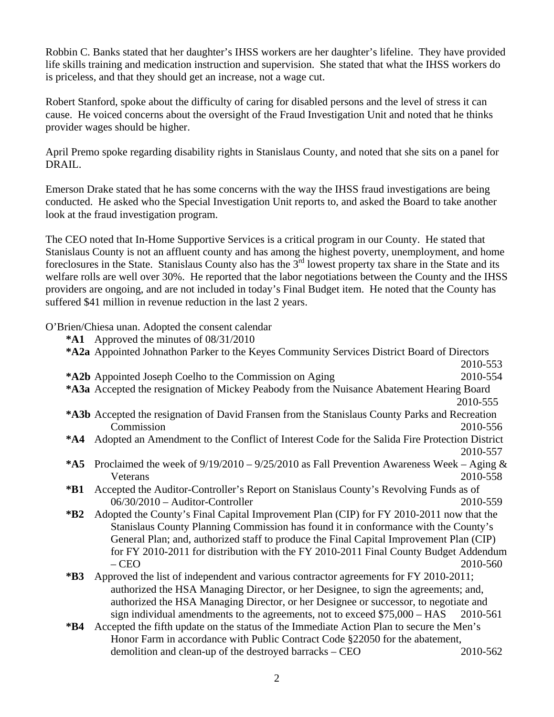Robbin C. Banks stated that her daughter's IHSS workers are her daughter's lifeline. They have provided life skills training and medication instruction and supervision. She stated that what the IHSS workers do is priceless, and that they should get an increase, not a wage cut.

Robert Stanford, spoke about the difficulty of caring for disabled persons and the level of stress it can cause. He voiced concerns about the oversight of the Fraud Investigation Unit and noted that he thinks provider wages should be higher.

April Premo spoke regarding disability rights in Stanislaus County, and noted that she sits on a panel for DRAIL.

Emerson Drake stated that he has some concerns with the way the IHSS fraud investigations are being conducted. He asked who the Special Investigation Unit reports to, and asked the Board to take another look at the fraud investigation program.

The CEO noted that In-Home Supportive Services is a critical program in our County. He stated that Stanislaus County is not an affluent county and has among the highest poverty, unemployment, and home foreclosures in the State. Stanislaus County also has the 3<sup>rd</sup> lowest property tax share in the State and its welfare rolls are well over 30%. He reported that the labor negotiations between the County and the IHSS providers are ongoing, and are not included in today's Final Budget item. He noted that the County has suffered \$41 million in revenue reduction in the last 2 years.

O'Brien/Chiesa unan. Adopted the consent calendar

**\*A1** Approved the minutes of 08/31/2010 **\*A2a** Appointed Johnathon Parker to the Keyes Community Services District Board of Directors 2010-553 **\*A2b** Appointed Joseph Coelho to the Commission on Aging 2010-554 **\*A3a** Accepted the resignation of Mickey Peabody from the Nuisance Abatement Hearing Board 2010-555 **\*A3b** Accepted the resignation of David Fransen from the Stanislaus County Parks and Recreation Commission 2010-556 **\*A4** Adopted an Amendment to the Conflict of Interest Code for the Salida Fire Protection District 2010-557 **\*A5** Proclaimed the week of 9/19/2010 – 9/25/2010 as Fall Prevention Awareness Week – Aging & Veterans 2010-558 **\*B1** Accepted the Auditor-Controller's Report on Stanislaus County's Revolving Funds as of 06/30/2010 – Auditor-Controller 2010-559 **\*B2** Adopted the County's Final Capital Improvement Plan (CIP) for FY 2010-2011 now that the Stanislaus County Planning Commission has found it in conformance with the County's General Plan; and, authorized staff to produce the Final Capital Improvement Plan (CIP) for FY 2010-2011 for distribution with the FY 2010-2011 Final County Budget Addendum – CEO 2010-560 **\*B3** Approved the list of independent and various contractor agreements for FY 2010-2011; authorized the HSA Managing Director, or her Designee, to sign the agreements; and, authorized the HSA Managing Director, or her Designee or successor, to negotiate and sign individual amendments to the agreements, not to exceed \$75,000 – HAS 2010-561 **\*B4** Accepted the fifth update on the status of the Immediate Action Plan to secure the Men's Honor Farm in accordance with Public Contract Code §22050 for the abatement, demolition and clean-up of the destroyed barracks – CEO 2010-562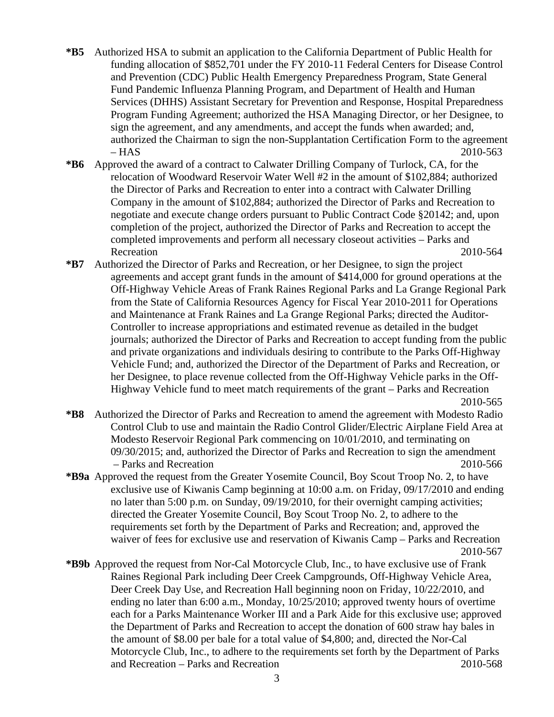- **\*B5** Authorized HSA to submit an application to the California Department of Public Health for funding allocation of \$852,701 under the FY 2010-11 Federal Centers for Disease Control and Prevention (CDC) Public Health Emergency Preparedness Program, State General Fund Pandemic Influenza Planning Program, and Department of Health and Human Services (DHHS) Assistant Secretary for Prevention and Response, Hospital Preparedness Program Funding Agreement; authorized the HSA Managing Director, or her Designee, to sign the agreement, and any amendments, and accept the funds when awarded; and, authorized the Chairman to sign the non-Supplantation Certification Form to the agreement – HAS 2010-563
- **\*B6** Approved the award of a contract to Calwater Drilling Company of Turlock, CA, for the relocation of Woodward Reservoir Water Well #2 in the amount of \$102,884; authorized the Director of Parks and Recreation to enter into a contract with Calwater Drilling Company in the amount of \$102,884; authorized the Director of Parks and Recreation to negotiate and execute change orders pursuant to Public Contract Code §20142; and, upon completion of the project, authorized the Director of Parks and Recreation to accept the completed improvements and perform all necessary closeout activities – Parks and Recreation 2010-564
- **\*B7** Authorized the Director of Parks and Recreation, or her Designee, to sign the project agreements and accept grant funds in the amount of \$414,000 for ground operations at the Off-Highway Vehicle Areas of Frank Raines Regional Parks and La Grange Regional Park from the State of California Resources Agency for Fiscal Year 2010-2011 for Operations and Maintenance at Frank Raines and La Grange Regional Parks; directed the Auditor-Controller to increase appropriations and estimated revenue as detailed in the budget journals; authorized the Director of Parks and Recreation to accept funding from the public and private organizations and individuals desiring to contribute to the Parks Off-Highway Vehicle Fund; and, authorized the Director of the Department of Parks and Recreation, or her Designee, to place revenue collected from the Off-Highway Vehicle parks in the Off-Highway Vehicle fund to meet match requirements of the grant – Parks and Recreation 2010-565
- **\*B8** Authorized the Director of Parks and Recreation to amend the agreement with Modesto Radio Control Club to use and maintain the Radio Control Glider/Electric Airplane Field Area at Modesto Reservoir Regional Park commencing on 10/01/2010, and terminating on 09/30/2015; and, authorized the Director of Parks and Recreation to sign the amendment – Parks and Recreation 2010-566
- **\*B9a** Approved the request from the Greater Yosemite Council, Boy Scout Troop No. 2, to have exclusive use of Kiwanis Camp beginning at 10:00 a.m. on Friday, 09/17/2010 and ending no later than 5:00 p.m. on Sunday, 09/19/2010, for their overnight camping activities; directed the Greater Yosemite Council, Boy Scout Troop No. 2, to adhere to the requirements set forth by the Department of Parks and Recreation; and, approved the waiver of fees for exclusive use and reservation of Kiwanis Camp – Parks and Recreation 2010-567
- **\*B9b** Approved the request from Nor-Cal Motorcycle Club, Inc., to have exclusive use of Frank Raines Regional Park including Deer Creek Campgrounds, Off-Highway Vehicle Area, Deer Creek Day Use, and Recreation Hall beginning noon on Friday, 10/22/2010, and ending no later than 6:00 a.m., Monday, 10/25/2010; approved twenty hours of overtime each for a Parks Maintenance Worker III and a Park Aide for this exclusive use; approved the Department of Parks and Recreation to accept the donation of 600 straw hay bales in

the amount of \$8.00 per bale for a total value of \$4,800; and, directed the Nor-Cal Motorcycle Club, Inc., to adhere to the requirements set forth by the Department of Parks and Recreation – Parks and Recreation 2010-568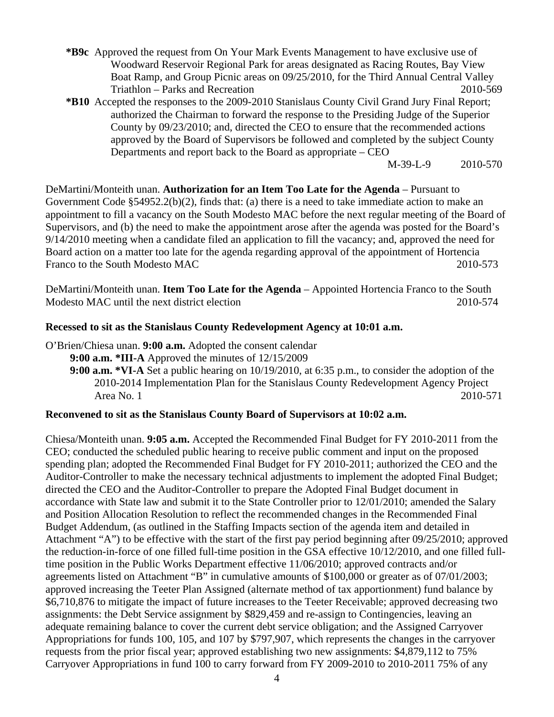- **\*B9c** Approved the request from On Your Mark Events Management to have exclusive use of Woodward Reservoir Regional Park for areas designated as Racing Routes, Bay View Boat Ramp, and Group Picnic areas on 09/25/2010, for the Third Annual Central Valley Triathlon – Parks and Recreation 2010-569
- **\*B10** Accepted the responses to the 2009-2010 Stanislaus County Civil Grand Jury Final Report; authorized the Chairman to forward the response to the Presiding Judge of the Superior County by 09/23/2010; and, directed the CEO to ensure that the recommended actions approved by the Board of Supervisors be followed and completed by the subject County Departments and report back to the Board as appropriate – CEO

M-39-L-9 2010-570

DeMartini/Monteith unan. **Authorization for an Item Too Late for the Agenda** – Pursuant to Government Code §54952.2(b)(2), finds that: (a) there is a need to take immediate action to make an appointment to fill a vacancy on the South Modesto MAC before the next regular meeting of the Board of Supervisors, and (b) the need to make the appointment arose after the agenda was posted for the Board's 9/14/2010 meeting when a candidate filed an application to fill the vacancy; and, approved the need for Board action on a matter too late for the agenda regarding approval of the appointment of Hortencia Franco to the South Modesto MAC 2010-573

DeMartini/Monteith unan. **Item Too Late for the Agenda** – Appointed Hortencia Franco to the South Modesto MAC until the next district election 2010-574

## **Recessed to sit as the Stanislaus County Redevelopment Agency at 10:01 a.m.**

O'Brien/Chiesa unan. **9:00 a.m.** Adopted the consent calendar

**9:00 a.m. \*III-A** Approved the minutes of 12/15/2009

**9:00 a.m. \*VI-A** Set a public hearing on 10/19/2010, at 6:35 p.m., to consider the adoption of the 2010-2014 Implementation Plan for the Stanislaus County Redevelopment Agency Project Area No. 1 2010-571

## **Reconvened to sit as the Stanislaus County Board of Supervisors at 10:02 a.m.**

Chiesa/Monteith unan. **9:05 a.m.** Accepted the Recommended Final Budget for FY 2010-2011 from the CEO; conducted the scheduled public hearing to receive public comment and input on the proposed spending plan; adopted the Recommended Final Budget for FY 2010-2011; authorized the CEO and the Auditor-Controller to make the necessary technical adjustments to implement the adopted Final Budget; directed the CEO and the Auditor-Controller to prepare the Adopted Final Budget document in accordance with State law and submit it to the State Controller prior to 12/01/2010; amended the Salary and Position Allocation Resolution to reflect the recommended changes in the Recommended Final Budget Addendum, (as outlined in the Staffing Impacts section of the agenda item and detailed in Attachment "A") to be effective with the start of the first pay period beginning after 09/25/2010; approved the reduction-in-force of one filled full-time position in the GSA effective 10/12/2010, and one filled fulltime position in the Public Works Department effective 11/06/2010; approved contracts and/or agreements listed on Attachment "B" in cumulative amounts of \$100,000 or greater as of 07/01/2003; approved increasing the Teeter Plan Assigned (alternate method of tax apportionment) fund balance by \$6,710,876 to mitigate the impact of future increases to the Teeter Receivable; approved decreasing two assignments: the Debt Service assignment by \$829,459 and re-assign to Contingencies, leaving an adequate remaining balance to cover the current debt service obligation; and the Assigned Carryover Appropriations for funds 100, 105, and 107 by \$797,907, which represents the changes in the carryover requests from the prior fiscal year; approved establishing two new assignments: \$4,879,112 to 75% Carryover Appropriations in fund 100 to carry forward from FY 2009-2010 to 2010-2011 75% of any